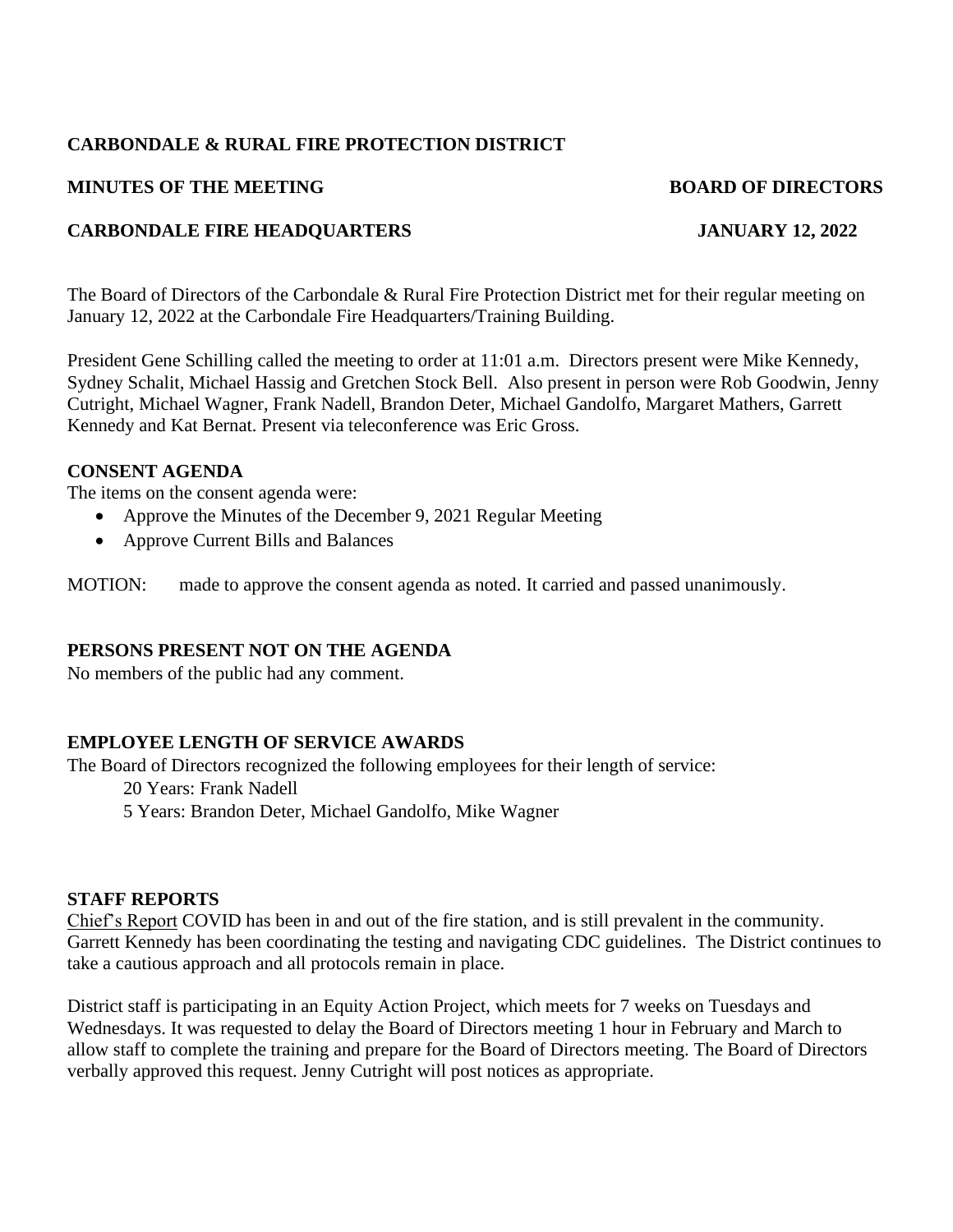## **CARBONDALE & RURAL FIRE PROTECTION DISTRICT**

#### **MINUTES OF THE MEETING BOARD OF DIRECTORS**

# **CARBONDALE FIRE HEADQUARTERS JANUARY 12, 2022**

The Board of Directors of the Carbondale & Rural Fire Protection District met for their regular meeting on January 12, 2022 at the Carbondale Fire Headquarters/Training Building.

President Gene Schilling called the meeting to order at 11:01 a.m. Directors present were Mike Kennedy, Sydney Schalit, Michael Hassig and Gretchen Stock Bell. Also present in person were Rob Goodwin, Jenny Cutright, Michael Wagner, Frank Nadell, Brandon Deter, Michael Gandolfo, Margaret Mathers, Garrett Kennedy and Kat Bernat. Present via teleconference was Eric Gross.

#### **CONSENT AGENDA**

The items on the consent agenda were:

- Approve the Minutes of the December 9, 2021 Regular Meeting
- Approve Current Bills and Balances

MOTION: made to approve the consent agenda as noted. It carried and passed unanimously.

#### **PERSONS PRESENT NOT ON THE AGENDA**

No members of the public had any comment.

# **EMPLOYEE LENGTH OF SERVICE AWARDS**

The Board of Directors recognized the following employees for their length of service:

20 Years: Frank Nadell

5 Years: Brandon Deter, Michael Gandolfo, Mike Wagner

#### **STAFF REPORTS**

Chief's Report COVID has been in and out of the fire station, and is still prevalent in the community. Garrett Kennedy has been coordinating the testing and navigating CDC guidelines. The District continues to take a cautious approach and all protocols remain in place.

District staff is participating in an Equity Action Project, which meets for 7 weeks on Tuesdays and Wednesdays. It was requested to delay the Board of Directors meeting 1 hour in February and March to allow staff to complete the training and prepare for the Board of Directors meeting. The Board of Directors verbally approved this request. Jenny Cutright will post notices as appropriate.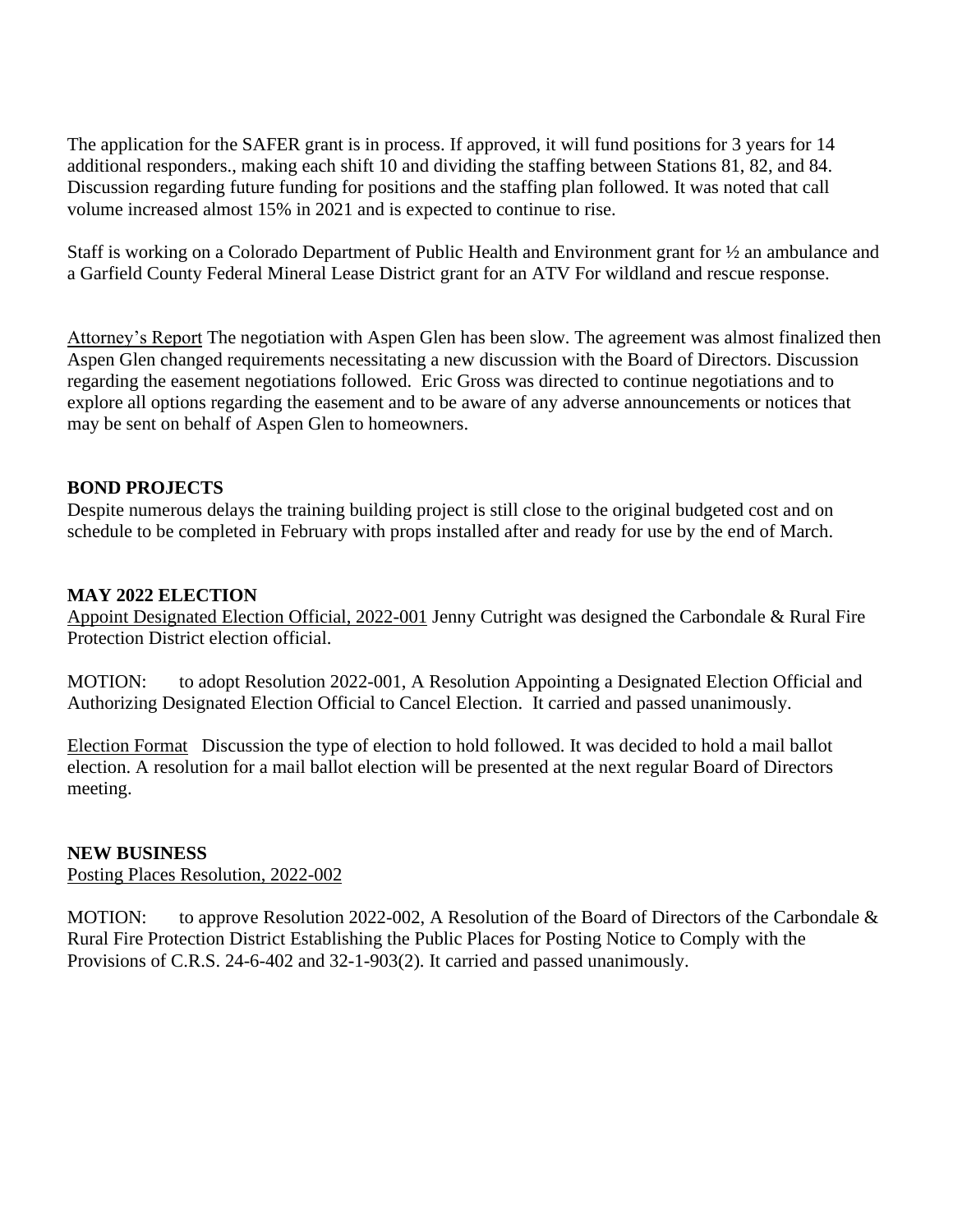The application for the SAFER grant is in process. If approved, it will fund positions for 3 years for 14 additional responders., making each shift 10 and dividing the staffing between Stations 81, 82, and 84. Discussion regarding future funding for positions and the staffing plan followed. It was noted that call volume increased almost 15% in 2021 and is expected to continue to rise.

Staff is working on a Colorado Department of Public Health and Environment grant for ½ an ambulance and a Garfield County Federal Mineral Lease District grant for an ATV For wildland and rescue response.

Attorney's Report The negotiation with Aspen Glen has been slow. The agreement was almost finalized then Aspen Glen changed requirements necessitating a new discussion with the Board of Directors. Discussion regarding the easement negotiations followed. Eric Gross was directed to continue negotiations and to explore all options regarding the easement and to be aware of any adverse announcements or notices that may be sent on behalf of Aspen Glen to homeowners.

# **BOND PROJECTS**

Despite numerous delays the training building project is still close to the original budgeted cost and on schedule to be completed in February with props installed after and ready for use by the end of March.

### **MAY 2022 ELECTION**

Appoint Designated Election Official, 2022-001 Jenny Cutright was designed the Carbondale & Rural Fire Protection District election official.

MOTION: to adopt Resolution 2022-001, A Resolution Appointing a Designated Election Official and Authorizing Designated Election Official to Cancel Election. It carried and passed unanimously.

Election Format Discussion the type of election to hold followed. It was decided to hold a mail ballot election. A resolution for a mail ballot election will be presented at the next regular Board of Directors meeting.

# **NEW BUSINESS**

Posting Places Resolution, 2022-002

MOTION: to approve Resolution 2022-002, A Resolution of the Board of Directors of the Carbondale & Rural Fire Protection District Establishing the Public Places for Posting Notice to Comply with the Provisions of C.R.S. 24-6-402 and 32-1-903(2). It carried and passed unanimously.